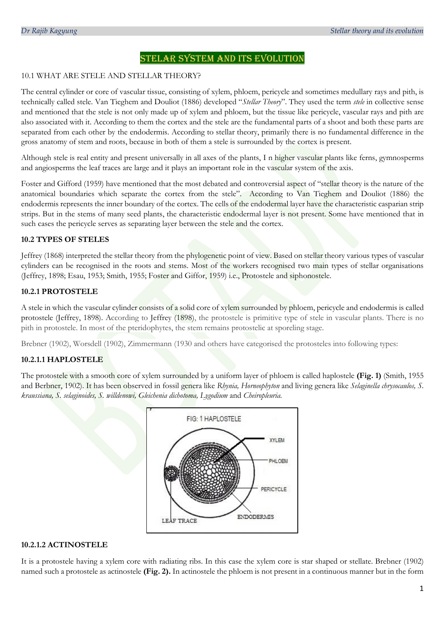# STELAR SYSTEM AND ITS EVOLUTION

### 10.1 WHAT ARE STELE AND STELLAR THEORY?

The central cylinder or core of vascular tissue, consisting of xylem, phloem, pericycle and sometimes medullary rays and pith, is technically called stele. Van Tieghem and Douliot (1886) developed "*Stellar Theory*". They used the term *stele* in collective sense and mentioned that the stele is not only made up of xylem and phloem, but the tissue like pericycle, vascular rays and pith are also associated with it. According to them the cortex and the stele are the fundamental parts of a shoot and both these parts are separated from each other by the endodermis. According to stellar theory, primarily there is no fundamental difference in the gross anatomy of stem and roots, because in both of them a stele is surrounded by the cortex is present.

Although stele is real entity and present universally in all axes of the plants, I n higher vascular plants like ferns, gymnosperms and angiosperms the leaf traces are large and it plays an important role in the vascular system of the axis.

Foster and Gifford (1959) have mentioned that the most debated and controversial aspect of "stellar theory is the nature of the anatomical boundaries which separate the cortex from the stele". According to Van Tieghem and Douliot (1886) the endodermis represents the inner boundary of the cortex. The cells of the endodermal layer have the characteristic casparian strip strips. But in the stems of many seed plants, the characteristic endodermal layer is not present. Some have mentioned that in such cases the pericycle serves as separating layer between the stele and the cortex.

## **10.2 TYPES OF STELES**

Jeffrey (1868) interpreted the stellar theory from the phylogenetic point of view. Based on stellar theory various types of vascular cylinders can be recognised in the roots and stems. Most of the workers recognised two main types of stellar organisations (Jeffrey, 1898; Esau, 1953; Smith, 1955; Foster and Giffor, 1959) i.e., Protostele and siphonostele.

## **10.2.1 PROTOSTELE**

A stele in which the vascular cylinder consists of a solid core of xylem surrounded by phloem, pericycle and endodermis is called protostele (Jeffrey, 1898). According to Jeffrey (1898), the protostele is primitive type of stele in vascular plants. There is no pith in protostele. In most of the pteridophytes, the stem remains protostelic at sporeling stage.

Brebner (1902), Worsdell (1902), Zimmermann (1930 and others have categorised the protosteles into following types:

## **10.2.1.1 HAPLOSTELE**

The protostele with a smooth core of xylem surrounded by a uniform layer of phloem is called haplostele **(Fig. 1)** (Smith, 1955 and Berbner, 1902). It has been observed in fossil genera like *Rhynia, Horneophyton* and living genera like *Selaginella chrysocaulos, S. kraussiana, S. selaginoides, S. willdenowi, Gleichenia dichotoma, Lygodium* and *Cheiropleuria.* 



## **10.2.1.2 ACTINOSTELE**

It is a protostele having a xylem core with radiating ribs. In this case the xylem core is star shaped or stellate. Brebner (1902) named such a protostele as actinostele **(Fig. 2).** In actinostele the phloem is not present in a continuous manner but in the form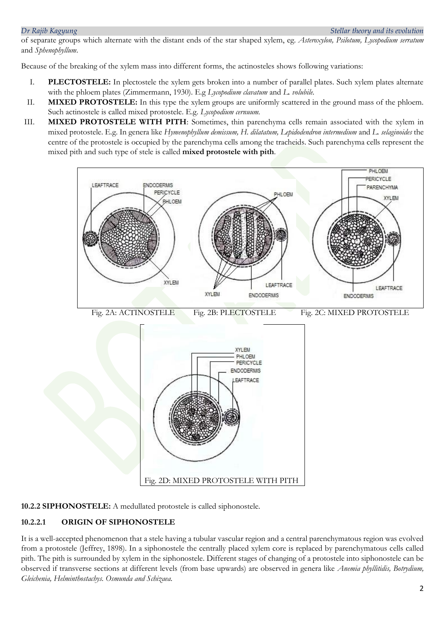of separate groups which alternate with the distant ends of the star shaped xylem, eg. *Asteroxylon, Psilotum, Lycopodium serratum* and *Sphenophyllum*.

Because of the breaking of the xylem mass into different forms, the actinosteles shows following variations:

- I. **PLECTOSTELE:** In plectostele the xylem gets broken into a number of parallel plates. Such xylem plates alternate with the phloem plates (Zimmermann, 1930). E.g *Lycopodium clavatum* and *L. volubile.*
- II. **MIXED PROTOSTELE:** In this type the xylem groups are uniformly scattered in the ground mass of the phloem. Such actinostele is called mixed protostele. E.g. *Lycopodium cernuum.*
- III. **MIXED PROTOSTELE WITH PITH**: Sometimes, thin parenchyma cells remain associated with the xylem in mixed protostele. E.g. In genera like *Hymenophyllum demissum, H. dilatatum, Lepidodendron intermedium* and *L. selaginoides* the centre of the protostele is occupied by the parenchyma cells among the tracheids. Such parenchyma cells represent the mixed pith and such type of stele is called **mixed protostele with pith**.



**10.2.2 SIPHONOSTELE:** A medullated protostele is called siphonostele.

# **10.2.2.1 ORIGIN OF SIPHONOSTELE**

It is a well-accepted phenomenon that a stele having a tubular vascular region and a central parenchymatous region was evolved from a protostele (Jeffrey, 1898). In a siphonostele the centrally placed xylem core is replaced by parenchymatous cells called pith. The pith is surrounded by xylem in the siphonostele. Different stages of changing of a protostele into siphonostele can be observed if transverse sections at different levels (from base upwards) are observed in genera like *Anemia phyllitidis, Botrydium, Gleichenia, Helminthostachys. Osmunda and Schizaea.*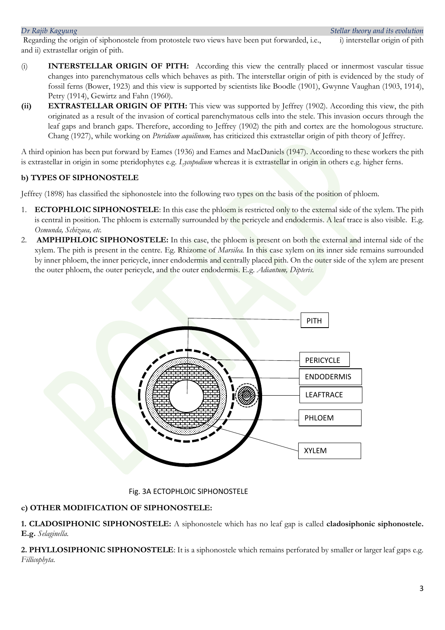Regarding the origin of siphonostele from protostele two views have been put forwarded, i.e., i) interstellar origin of pith and ii) extrastellar origin of pith.

- (i) **INTERSTELLAR ORIGIN OF PITH:** According this view the centrally placed or innermost vascular tissue changes into parenchymatous cells which behaves as pith. The interstellar origin of pith is evidenced by the study of fossil ferns (Bower, 1923) and this view is supported by scientists like Boodle (1901), Gwynne Vaughan (1903, 1914), Petry (1914), Gewirtz and Fahn (1960).
- **(ii) EXTRASTELLAR ORIGIN OF PITH:** This view was supported by Jeffrey (1902). According this view, the pith originated as a result of the invasion of cortical parenchymatous cells into the stele. This invasion occurs through the leaf gaps and branch gaps. Therefore, according to Jeffrey (1902) the pith and cortex are the homologous structure. Chang (1927), while working on *Pteridium aquilinum,* has criticized this extrastellar origin of pith theory of Jeffrey.

A third opinion has been put forward by Eames (1936) and Eames and MacDaniels (1947). According to these workers the pith is extrastellar in origin in some pteridophytes e.g. *Lycopodium* whereas it is extrastellar in origin in others e.g. higher ferns.

## **b) TYPES OF SIPHONOSTELE**

Jeffrey (1898) has classified the siphonostele into the following two types on the basis of the position of phloem.

- 1. **ECTOPHLOIC SIPHONOSTELE**: In this case the phloem is restricted only to the external side of the xylem. The pith is central in position. The phloem is externally surrounded by the pericycle and endodermis. A leaf trace is also visible. E.g. *Osmunda, Schizaea, etc.*
- 2. **AMPHIPHLOIC SIPHONOSTELE:** In this case, the phloem is present on both the external and internal side of the xylem. The pith is present in the centre. Eg. Rhizome of *Marsilea.* In this case xylem on its inner side remains surrounded by inner phloem, the inner pericycle, inner endodermis and centrally placed pith. On the outer side of the xylem are present the outer phloem, the outer pericycle, and the outer endodermis. E.g. *Adiantum, Dipteris.*



## Fig. 3A ECTOPHLOIC SIPHONOSTELE

## **c) OTHER MODIFICATION OF SIPHONOSTELE:**

**1. CLADOSIPHONIC SIPHONOSTELE:** A siphonostele which has no leaf gap is called **cladosiphonic siphonostele. E.g.** *Selaginella.*

**2. PHYLLOSIPHONIC SIPHONOSTELE**: It is a siphonostele which remains perforated by smaller or larger leaf gaps e.g. *Fillicophyta.*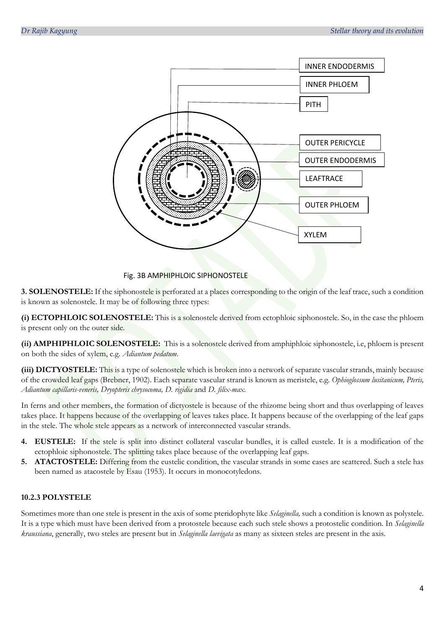

### Fig. 3B AMPHIPHLOIC SIPHONOSTELE

**3. SOLENOSTELE:** If the siphonostele is perforated at a places corresponding to the origin of the leaf trace, such a condition is known as solenostele. It may be of following three types:

**(i) ECTOPHLOIC SOLENOSTELE:** This is a solenostele derived from ectophloic siphonostele. So, in the case the phloem is present only on the outer side.

**(ii) AMPHIPHLOIC SOLENOSTELE:** This is a solenostele derived from amphiphloic siphonostele, i.e, phloem is present on both the sides of xylem, e.g. *Adiantum pedatum*.

**(iii) DICTYOSTELE:** This is a type of solenostele which is broken into a network of separate vascular strands, mainly because of the crowded leaf gaps (Brebner, 1902). Each separate vascular strand is known as meristele, e.g. *Ophioglossum lusitanicum, Pteris, Adiantum capillaris-veneris, Dryopteris chrysocoma, D. rigidia* and *D. filix-max.* 

In ferns and other members, the formation of dictyostele is because of the rhizome being short and thus overlapping of leaves takes place. It happens because of the overlapping of leaves takes place. It happens because of the overlapping of the leaf gaps in the stele. The whole stele appears as a network of interconnected vascular strands.

- **4. EUSTELE:** If the stele is split into distinct collateral vascular bundles, it is called eustele. It is a modification of the ectophloic siphonostele. The splitting takes place because of the overlapping leaf gaps.
- **5. ATACTOSTELE:** Differing from the eustelic condition, the vascular strands in some cases are scattered. Such a stele has been named as atacostele by Esau (1953). It occurs in monocotyledons.

## **10.2.3 POLYSTELE**

Sometimes more than one stele is present in the axis of some pteridophyte like *Selaginella,* such a condition is known as polystele. It is a type which must have been derived from a protostele because each such stele shows a protostelic condition. In *Selaginella kraussiana*, generally, two steles are present but in *Selaginella laevigata* as many as sixteen steles are present in the axis.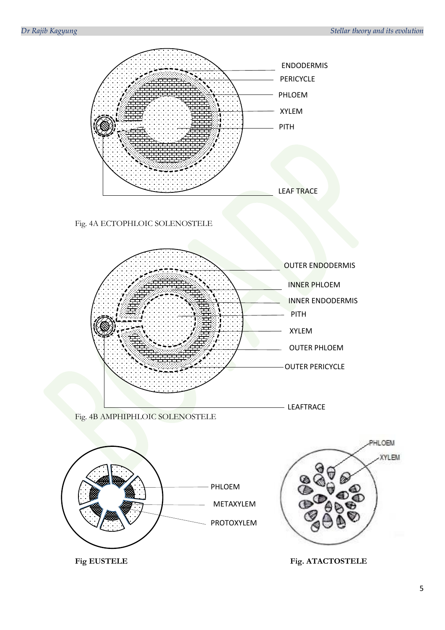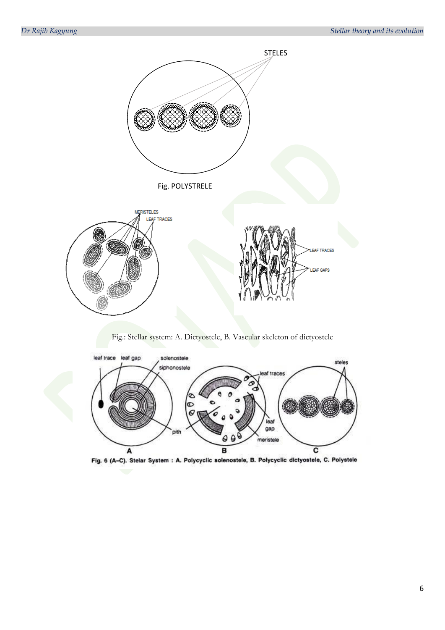

Fig.: Stellar system: A. Dictyostele, B. Vascular skeleton of dictyostele



Fig. 6 (A-C). Stelar System : A. Polycyclic solenostele, B. Polycyclic dictyostele, C. Polystele